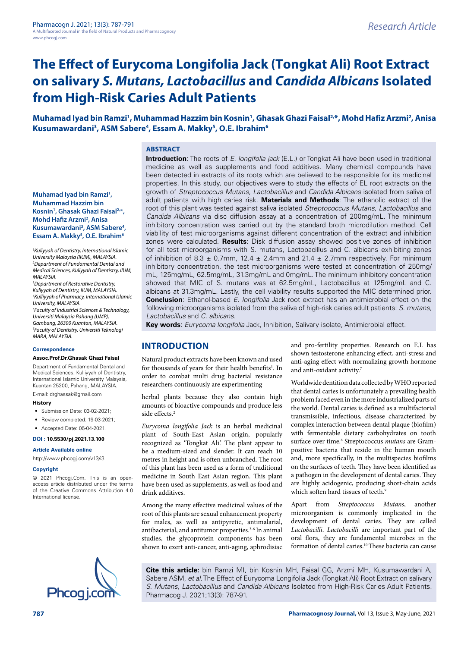**Muhamad Iyad bin Ramzi1 , Muhammad Hazzim bin** 

**Mohd Hafiz Arzmi2 , Anisa** 

**Essam A. Makky5 , O.E. Ibrahim6**

*University Malaysia (IIUM), MALAYSIA.*

*3 Department of Restorative Dentistry, Kuliyyah of Dentistry, IIUM, MALAYSIA.*

*Universiti Malaysia Pahang (UMP), Gambang, 26300 Kuantan, MALAYSIA. 6 Faculty of Dentistry, Universiti Teknologi* 

**Assoc.Prof.Dr.Ghasak Ghazi Faisal** Department of Fundamental Dental and Medical Sciences, Kulliyyah of Dentistry, International Islamic University Malaysia, Kuantan 25200, Pahang, MALAYSIA. E-mail: [drghassak@gmail.com](mailto:drghassak@gmail.com)

• Submission Date: 03-02-2021: • Review completed: 19-03-2021; • Accepted Date: 05-04-2021. **DOI : 10.5530/pj.2021.13.100 Article Available online**  <http://www.phcogj.com/v13/i3>

*MALAYSIA.*

*University, MALAYSIA.*

*MARA, MALAYSIA.* **Correspondence**

**History**

**Copyright**

International license.

# **The Effect of Eurycoma Longifolia Jack (Tongkat Ali) Root Extract on salivary** *S. Mutans, Lactobacillus* **and** *Candida Albicans* **Isolated from High-Risk Caries Adult Patients**

**Muhamad Iyad bin Ramzi1 , Muhammad Hazzim bin Kosnin1 , Ghasak Ghazi Faisal2,\*, Mohd Hafiz Arzmi2 , Anisa Kusumawardani3 , ASM Sabere4 , Essam A. Makky5 , O.E. Ibrahim6**

#### **ABSTRACT Introduction**: The roots of *E. longifolia jack* (E.L.) or Tongkat Ali have been used in traditional

been detected in extracts of its roots which are believed to be responsible for its medicinal properties. In this study, our objectives were to study the effects of EL root extracts on the growth of *Streptococcus Mutans, Lactobacillus* and *Candida Albicans* isolated from saliva of adult patients with high caries risk. **Materials and Methods**: The ethanolic extract of the root of this plant was tested against saliva isolated *Streptococcus Mutans, Lactobacillus* and *Candida Albicans* via disc diffusion assay at a concentration of 200mg/mL. The minimum inhibitory concentration was carried out by the standard broth microdilution method. Cell viability of test microorganisms against different concentration of the extract and inhibition zones were calculated. **Results**: Disk diffusion assay showed positive zones of inhibition for all test microorganisms with S. mutans, Lactobacillus and C. albicans exhibiting zones of inhibition of 8.3  $\pm$  0.7mm, 12.4  $\pm$  2.4mm and 21.4  $\pm$  2.7mm respectively. For minimum inhibitory concentration, the test microorganisms were tested at concentration of 250mg/ mL, 125mg/mL, 62.5mg/mL, 31.3mg/mL and 0mg/mL. The minimum inhibitory concentration showed that MIC of S. mutans was at 62.5mg/mL, Lactobacillus at 125mg/mL and C. albicans at 31.3mg/mL. Lastly, the cell viability results supported the MIC determined prior. **Conclusion**: Ethanol-based *E. longifolia* Jack root extract has an antimicrobial effect on the **Kosnin1 , Ghasak Ghazi Faisal2,\*, Kusumawardani3 , ASM Sabere4 ,**  *1 Kuliyyah of Dentistry, International Islamic 2 Department of Fundamental Dental and Medical Sciences, Kuliyyah of Dentistry, IIUM, 4 Kulliyyah of Pharmacy, International Islamic 5 Faculty of Industrial Sciences & Technology,* 

following microorganisms isolated from the saliva of high-risk caries adult patients: *S. mutans, Lactobacillus* and *C. albicans.*

medicine as well as supplements and food additives. Many chemical compounds have

**Key words**: *Eurycoma longifolia* Jack, Inhibition, Salivary isolate, Antimicrobial effect.

# **INTRODUCTION**

Natural product extracts have been known and used for thousands of years for their health benefits<sup>1</sup>. In order to combat multi drug bacterial resistance researchers continuously are experimenting

herbal plants because they also contain high amounts of bioactive compounds and produce less side effects.<sup>2</sup>

*Eurycoma longifolia Jack* is an herbal medicinal plant of South-East Asian origin, popularly recognized as 'Tongkat Ali.' The plant appear to be a medium-sized and slender. It can reach 10 metres in height and is often unbranched. The root of this plant has been used as a form of traditional medicine in South East Asian region. This plant have been used as supplements, as well as food and drink additives.

Among the many effective medicinal values of the root of this plants are sexual enhancement property for males, as well as antipyretic, antimalarial, antibacterial, and antitumor properties.<sup>3-6</sup> In animal studies, the glycoprotein components has been shown to exert anti-cancer, anti-aging, aphrodisiac

and pro-fertility properties. Research on E.L has shown testosterone enhancing effect, anti-stress and anti-aging effect with normalizing growth hormone and anti-oxidant activity.7

Worldwide dentition data collected by WHO reported that dental caries is unfortunately a prevailing health problem faced even in the more industrialized parts of the world. Dental caries is defined as a multifactorial transmissible, infectious, disease characterized by complex interaction between dental plaque (biofilm) with fermentable dietary carbohydrates on tooth surface over time.<sup>8</sup> Streptococcus *mutans* are Grampositive bacteria that reside in the human mouth and, more specifically, in the multispecies biofilms on the surfaces of teeth. They have been identified as a pathogen in the development of dental caries. They are highly acidogenic, producing short-chain acids which soften hard tissues of teeth.<sup>9</sup>

Apart from *Streptococcus Mutans*, another microorganism is commonly implicated in the development of dental caries. They are called *Lactobacilli*. *Lactobacilli* are important part of the oral flora, they are fundamental microbes in the formation of dental caries.10 These bacteria can cause

**Cite this article:** bin Ramzi MI, bin Kosnin MH, Faisal GG, Arzmi MH, Kusumawardani A, Sabere ASM, *et al*. The Effect of Eurycoma Longifolia Jack (Tongkat Ali) Root Extract on salivary *S. Mutans, Lactobacillus* and *Candida Albicans* Isolated from High-Risk Caries Adult Patients.<br>Ph**COQ i.COM** Pharmacog J. 2021;13(3): 787-91.

© 2021 Phcogj.Com. This is an openaccess article distributed under the terms of the Creative Commons Attribution 4.0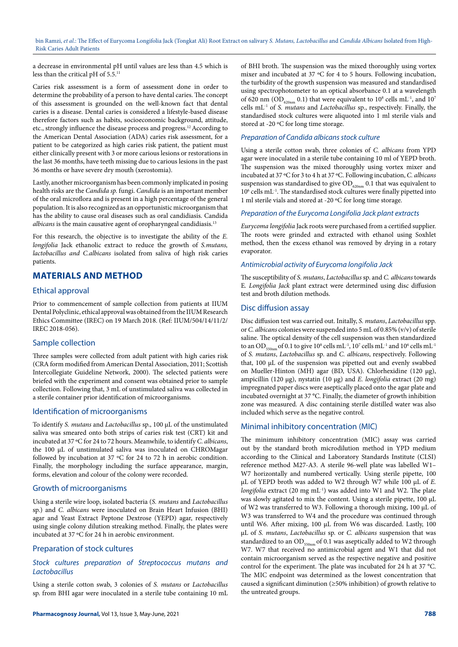bin Ramzi, *et al*.: The Effect of Eurycoma Longifolia Jack (Tongkat Ali) Root Extract on salivary *S. Mutans, Lactobacillus* and *Candida Albicans* Isolated from High-Risk Caries Adult Patients

a decrease in environmental pH until values are less than 4.5 which is less than the critical pH of 5.5.<sup>11</sup>

Caries risk assessment is a form of assessment done in order to determine the probability of a person to have dental caries. The concept of this assessment is grounded on the well-known fact that dental caries is a disease. Dental caries is considered a lifestyle-based disease therefore factors such as habits, socioeconomic background, attitude, etc., strongly influence the disease process and progress.12 According to the American Dental Association (ADA) caries risk assessment, for a patient to be categorized as high caries risk patient, the patient must either clinically present with 3 or more carious lesions or restorations in the last 36 months, have teeth missing due to carious lesions in the past 36 months or have severe dry mouth (xerostomia).

Lastly, another microorganism has been commonly implicated in posing health risks are the *Candida sp.* fungi. *Candida* is an important member of the oral microflora and is present in a high percentage of the general population. It is also recognized as an opportunistic microorganism that has the ability to cause oral diseases such as oral candidiasis. Candida *albicans* is the main causative agent of oropharyngeal candidiasis.<sup>13</sup>

For this research, the objective is to investigate the ability of the *E. longifolia* Jack ethanolic extract to reduce the growth of *S.mutans, lactobacillus and C.albicans* isolated from saliva of high risk caries patients.

# **MATERIALS AND METHOD**

#### Ethical approval

Prior to commencement of sample collection from patients at IIUM Dental Polyclinic, ethical approval was obtained from the IIUM Research Ethics Committee (IREC) on 19 March 2018. (Ref: IIUM/504/14/11/2/ IREC 2018-056).

#### Sample collection

Three samples were collected from adult patient with high caries risk (CRA form modified from American Dental Association, 2011; Scottish Intercollegiate Guideline Network, 2000). The selected patients were briefed with the experiment and consent was obtained prior to sample collection. Following that, 3 mL of unstimulated saliva was collected in a sterile container prior identification of microorganisms.

#### Identification of microorganisms

To identify *S. mutans* and *Lactobacillus* sp., 100 µL of the unstimulated saliva was smeared onto both strips of caries risk test (CRT) kit and incubated at 37 ºC for 24 to 72 hours. Meanwhile, to identify *C. albicans*, the 100 µL of unstimulated saliva was inoculated on CHROMagar followed by incubation at 37 ºC for 24 to 72 h in aerobic condition. Finally, the morphology including the surface appearance, margin, forms, elevation and colour of the colony were recorded.

#### Growth of microorganisms

Using a sterile wire loop, isolated bacteria (*S. mutans* and *Lactobacillus*  sp.) and *C. albicans* were inoculated on Brain Heart Infusion (BHI) agar and Yeast Extract Peptone Dextrose (YEPD) agar, respectively using single colony dilution streaking method. Finally, the plates were incubated at 37 ºC for 24 h in aerobic environment.

# Preparation of stock cultures

#### *Stock cultures preparation of Streptococcus mutans and Lactobacillus*

Using a sterile cotton swab, 3 colonies of *S. mutans* or *Lactobacillus*  sp. from BHI agar were inoculated in a sterile tube containing 10 mL

of BHI broth. The suspension was the mixed thoroughly using vortex mixer and incubated at 37 ºC for 4 to 5 hours. Following incubation, the turbidity of the growth suspension was measured and standardised using spectrophotometer to an optical absorbance 0.1 at a wavelength of 620 nm (OD<sub>620nm</sub> 0.1) that were equivalent to 10<sup>8</sup> cells mL<sup>-1</sup>, and 10<sup>7</sup> cells mL-1 of *S. mutans* and *Lactobacillus* sp., respectively. Finally, the standardised stock cultures were aliquoted into 1 ml sterile vials and stored at -20 ºC for long time storage.

#### *Preparation of Candida albicans stock culture*

Using a sterile cotton swab, three colonies of *C. albicans* from YPD agar were inoculated in a sterile tube containing 10 ml of YEPD broth. The suspension was the mixed thoroughly using vortex mixer and incubated at 37 ºC for 3 to 4 h at 37 ºC. Following incubation, *C. albicans* suspension was standardised to give  $OD_{620nm}$  0.1 that was equivalent to 10<sup>6</sup> cells mL<sup>-1</sup>. The standardised stock cultures were finally pipetted into 1 ml sterile vials and stored at -20 ºC for long time storage.

#### *Preparation of the Eurycoma Longifolia Jack plant extracts*

*Eurycoma longifolia* Jack roots were purchased from a certified supplier. The roots were grinded and extracted with ethanol using Soxhlet method, then the excess ethanol was removed by drying in a rotary evaporator.

#### *Antimicrobial activity of Eurycoma longifolia Jack*

The susceptibility of *S. mutans*, *Lactobacillus* sp. and *C. albicans* towards E*. Longifolia Jack* plant extract were determined using disc diffusion test and broth dilution methods.

#### Disc diffusion assay

Disc diffusion test was carried out. Initally, *S. mutans*, *Lactobacillus* spp. or *C. albicans* colonies were suspended into 5 mL of 0.85% (v/v) of sterile saline. The optical density of the cell suspension was then standardized to an OD<sub>550nm</sub> of 0.1 to give 10<sup>8</sup> cells mL<sup>-1</sup>, 10<sup>7</sup> cells mL<sup>-1</sup> and 10<sup>6</sup> cells mL<sup>-1</sup> of *S. mutans*, *Lactobacillus* sp. and *C. albicans*, respectively. Following that, 100 µL of the suspension was pipetted out and evenly swabbed on Mueller-Hinton (MH) agar (BD, USA). Chlorhexidine (120 µg), ampicillin (120 µg), nystatin (10 µg) and *E. longifolia* extract (20 mg) impregnated paper discs were aseptically placed onto the agar plate and incubated overnight at 37 °C. Finally, the diameter of growth inhibition zone was measured. A disc containing sterile distilled water was also included which serve as the negative control.

#### Minimal inhibitory concentration (MIC)

The minimum inhibitory concentration (MIC) assay was carried out by the standard broth microdilution method in YPD medium according to the Clinical and Laboratory Standards Institute (CLSI) reference method M27-A3. A sterile 96-well plate was labelled W1– W7 horizontally and numbered vertically. Using sterile pipette, 100 µL of YEPD broth was added to W2 through W7 while 100 µL of *E. longifolia* extract (20 mg mL-1) was added into W1 and W2. The plate was slowly agitated to mix the content. Using a sterile pipette, 100 µL of W2 was transferred to W3. Following a thorough mixing, 100  $\upmu\rm L$  of W3 was transferred to W4 and the procedure was continued through until W6. After mixing, 100 µL from W6 was discarded. Lastly, 100 µL of *S. mutans*, *Lactobacillus* sp. or *C. albicans* suspension that was standardized to an OD $_{550nm}$  of 0.1 was aseptically added to W2 through W7. W7 that received no antimicrobial agent and W1 that did not contain microorganism served as the respective negative and positive control for the experiment. The plate was incubated for 24 h at 37 °C. The MIC endpoint was determined as the lowest concentration that caused a significant diminution (≥50% inhibition) of growth relative to the untreated groups.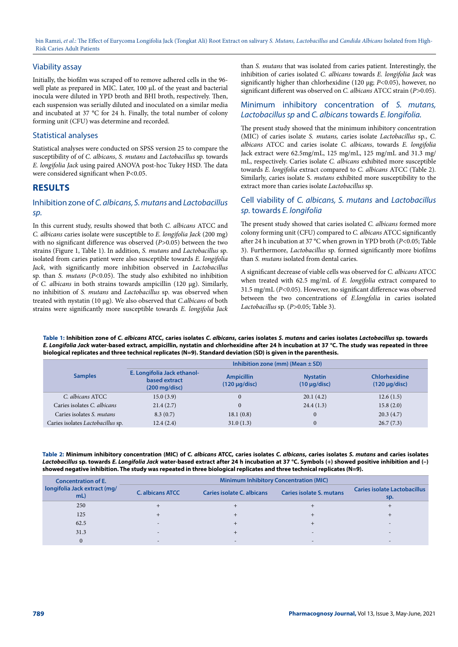bin Ramzi, *et al*.: The Effect of Eurycoma Longifolia Jack (Tongkat Ali) Root Extract on salivary *S. Mutans, Lactobacillus* and *Candida Albicans* Isolated from High-Risk Caries Adult Patients

#### Viability assay

Initially, the biofilm was scraped off to remove adhered cells in the 96 well plate as prepared in MIC. Later, 100 µL of the yeast and bacterial inocula were diluted in YPD broth and BHI broth, respectively. Then, each suspension was serially diluted and inoculated on a similar media and incubated at 37 °C for 24 h. Finally, the total number of colony forming unit (CFU) was determine and recorded.

#### Statistical analyses

Statistical analyses were conducted on SPSS version 25 to compare the susceptibility of of *C. albicans*, *S. mutans* and *Lactobacillus* sp. towards *E. longifolia Jack* using paired ANOVA post-hoc Tukey HSD. The data were considered significant when P<0.05.

# **RESULTS**

# Inhibition zone of *C. albicans, S. mutans* and *Lactobacillus sp.*

In this current study, results showed that both *C. albicans* ATCC and *C. albicans* caries isolate were susceptible to *E. longifolia Jack* (200 mg) with no significant difference was observed (*P>*0.05) between the two strains (Figure 1, Table 1). In addition, *S. mutans* and *Lactobacillus* sp. isolated from caries patient were also susceptible towards *E. longifolia Jack*, with significantly more inhibition observed in *Lactobacillus*  sp. than *S. mutans* (*P<*0.05). The study also exhibited no inhibition of *C. albicans* in both strains towards ampicillin (120 µg). Similarly, no inhibition of *S. mutans* and *Lactobacillus* sp. was observed when treated with nystatin (10 µg). We also observed that *C.albicans* of both strains were significantly more susceptible towards *E. longifolia Jack*  than *S. mutans* that was isolated from caries patient. Interestingly, the inhibition of caries isolated *C. albicans* towards *E. longifolia Jack* was significantly higher than chlorhexidine (120 µg; *P<*0.05), however, no significant different was observed on *C. albicans* ATCC strain (*P>*0.05).

### Minimum inhibitory concentration of *S. mutans, Lactobacillus sp* and *C. albicans* towards *E. longifolia.*

The present study showed that the minimum inhibitory concentration (MIC) of caries isolate *S. mutans,* caries isolate *Lactobacillus* sp., *C. albicans* ATCC and caries isolate *C. albicans*, towards *E. longifolia* Jack extract were 62.5mg/mL, 125 mg/mL, 125 mg/mL and 31.3 mg/ mL, respectively. Caries isolate *C. albicans* exhibited more susceptible towards *E. longifolia* extract compared to *C. albicans* ATCC (Table 2)*.*  Similarly, caries isolate S. *mutans* exhibited more susceptibility to the extract more than caries isolate *Lactobacillus* sp*.*

# Cell viability of *C. albicans, S. mutans* and *Lactobacillus sp.* towards *E. longifolia*

The present study showed that caries isolated *C. albicans* formed more colony forming unit (CFU) compared to *C. albicans* ATCC significantly after 24 h incubation at 37 °C when grown in YPD broth (*P<*0.05; Table 3). Furthermore, *Lactobacillus* sp. formed significantly more biofilms than *S. mutans* isolated from dental caries.

A significant decrease of viable cells was observed for *C. albicans* ATCC when treated with 62.5 mg/mL of *E. longifolia* extract compared to 31.5 mg/mL (*P<*0.05). However, no significant difference was observed between the two concentrations of *E.longfolia* in caries isolated *Lactobacillus* sp. (*P>*0.05; Table 3).

**Table 1: Inhibition zone of** *C. albicans* **ATCC, caries isolates** *C. albicans***, caries isolates** *S. mutans* **and caries isolates** *Lactobacillus* **sp. towards**  *E. Longifolia Jack* **water-based extract, ampicillin, nystatin and chlorhexidine after 24 h incubation at 37 °C. The study was repeated in three biological replicates and three technical replicates (N=9). Standard deviation (SD) is given in the parenthesis.**

|                                   | Inhibition zone (mm) (Mean $\pm$ SD)                                    |                                         |                                      |                                     |  |
|-----------------------------------|-------------------------------------------------------------------------|-----------------------------------------|--------------------------------------|-------------------------------------|--|
| <b>Samples</b>                    | E. Longifolia Jack ethanol-<br>based extract<br>$(200 \text{ mg/disc})$ | <b>Ampicillin</b><br>$(120 \mu q/disc)$ | <b>Nystatin</b><br>$(10 \mu q/disc)$ | Chlorhexidine<br>$(120 \mu q/disc)$ |  |
| C. albicans ATCC                  | 15.0(3.9)                                                               | $\theta$                                | 20.1(4.2)                            | 12.6(1.5)                           |  |
| Caries isolates C. albicans       | 21.4(2.7)                                                               | $\mathbf{0}$                            | 24.4(1.3)                            | 15.8(2.0)                           |  |
| Caries isolates S. mutans         | 8.3(0.7)                                                                | 18.1(0.8)                               | $\Omega$                             | 20.3(4.7)                           |  |
| Caries isolates Lactobacillus sp. | 12.4(2.4)                                                               | 31.0(1.3)                               |                                      | 26.7(7.3)                           |  |

**Table 2: Minimum inhibitory concentration (MIC) of** *C. albicans* **ATCC, caries isolates** *C. albicans***, caries isolates** *S. mutans* **and caries isolates**  *Lactobacillus* **sp. towards** *E. Longifolia Jack* **water-based extract after 24 h incubation at 37 °C. Symbols (+) showed positive inhibition and (–) showed negative inhibition. The study was repeated in three biological replicates and three technical replicates (N=9).**

| <b>Concentration of E.</b><br>longifolia Jack extract (mg/<br>mL | <b>Minimum Inhibitory Concentration (MIC)</b> |                            |                                 |                                     |  |
|------------------------------------------------------------------|-----------------------------------------------|----------------------------|---------------------------------|-------------------------------------|--|
|                                                                  | <b>C.</b> albicans ATCC                       | Caries isolate C. albicans | <b>Caries isolate S. mutans</b> | Caries isolate Lactobacillus<br>sp. |  |
| 250                                                              |                                               |                            |                                 |                                     |  |
| 125                                                              |                                               |                            |                                 |                                     |  |
| 62.5                                                             | $\overline{\phantom{a}}$                      |                            |                                 |                                     |  |
| 31.3                                                             | $\overline{\phantom{a}}$                      |                            | $\sim$                          | $\overline{\phantom{a}}$            |  |
|                                                                  |                                               |                            |                                 | $\overline{\phantom{0}}$            |  |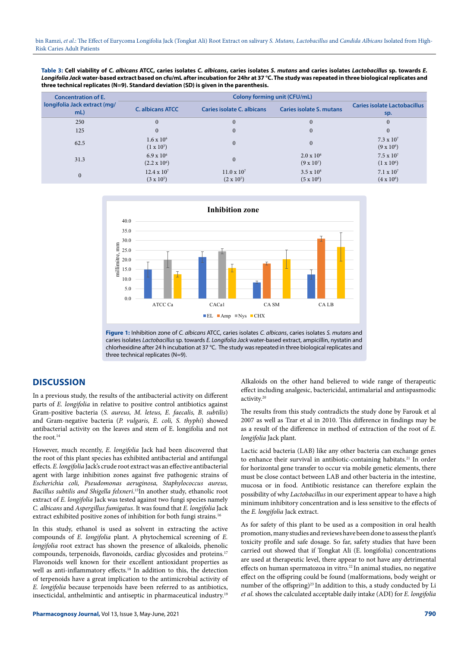**Table 3: Cell viability of** *C. albicans* **ATCC, caries isolates** *C. albicans***, caries isolates** *S. mutans* **and caries isolates** *Lactobacillus* **sp. towards** *E. Longifolia Jack* **water-based extract based on cfu/mL after incubation for 24hr at 37 °C. The study was repeated in three biological replicates and three technical replicates (N=9). Standard deviation (SD) is given in the parenthesis.**

| <b>Concentration of E.</b><br>longifolia Jack extract (mg/<br>mL | Colony forming unit (CFU/mL)               |                                         |                                        |                                          |  |
|------------------------------------------------------------------|--------------------------------------------|-----------------------------------------|----------------------------------------|------------------------------------------|--|
|                                                                  | <b>C.</b> albicans ATCC                    | Caries isolate C. albicans              | Caries isolate S. mutans               | Caries isolate Lactobacillus<br>sp.      |  |
| 250                                                              | $\mathbf{0}$                               | $\mathbf{0}$                            | $\mathbf{0}$                           | $\overline{0}$                           |  |
| 125                                                              | $\mathbf{0}$                               | $\theta$                                | $\mathbf{0}$                           | $\Omega$                                 |  |
| 62.5                                                             | $1.6 \times 10^{6}$<br>$(1 \times 10^5)$   |                                         | $\mathbf{0}$                           | $7.3 \times 10^{7}$<br>$(9 \times 10^6)$ |  |
| 31.3                                                             | $6.9 \times 10^{6}$<br>$(2.2 \times 10^6)$ | $\Omega$                                | $2.0 \times 10^8$<br>$(9 \times 10^7)$ | $7.5 \times 10^7$<br>$(1 \times 10^6)$   |  |
| $\mathbf{0}$                                                     | $12.4 \times 10^7$<br>$(3 \times 10^5)$    | $11.0 \times 10^7$<br>$(2 \times 10^5)$ | $3.5 \times 10^8$<br>$(5 \times 10^6)$ | $7.1 \times 10^7$<br>$(4 \times 10^6)$   |  |





# **DISCUSSION**

In a previous study, the results of the antibacterial activity on different parts of *E. longifolia* in relative to positive control antibiotics against Gram-positive bacteria (*S. aureus, M. leteus, E. faecalis, B. subtilis*) and Gram-negative bacteria (*P. vulgaris, E. coli, S. thyphi*) showed antibacterial activity on the leaves and stem of E. longifolia and not the root.<sup>14</sup>

However, much recently, *E. longifolia* Jack had been discovered that the root of this plant species has exhibited antibacterial and antifungal effects. *E. longifolia* Jack's crude root extract was an effective antibacterial agent with large inhibition zones against five pathogenic strains of *Escherichia coli, Pseudomonas aeruginosa, Staphylococcus aureus, Bacillus subtilis and Shigella felxneri*. 15In another study, ethanolic root extract of *E. longifolia* Jack was tested against two fungi species namely *C. albicans* and *Aspergillus fumigatus*. It was found that *E. longifolia* Jack extract exhibited positive zones of inhibition for both fungi strains.<sup>16</sup>

In this study, ethanol is used as solvent in extracting the active compounds of *E. longifolia* plant. A phytochemical screening of *E. longifolia* root extract has shown the presence of alkaloids, phenolic compounds, terpenoids, flavonoids, cardiac glycosides and proteins.17 Flavonoids well known for their excellent antioxidant properties as well as anti-inflammatory effects.<sup>18</sup> In addition to this, the detection of terpenoids have a great implication to the antimicrobial activity of *E. longifolia* because terpenoids have been referred to as antibiotics, insecticidal, anthelmintic and antiseptic in pharmaceutical industry.19

Alkaloids on the other hand believed to wide range of therapeutic effect including analgesic, bactericidal, antimalarial and antispasmodic activity.20

The results from this study contradicts the study done by Farouk et al 2007 as well as Tzar et al in 2010. This difference in findings may be as a result of the difference in method of extraction of the root of *E. longifolia* Jack plant.

Lactic acid bacteria (LAB) like any other bacteria can exchange genes to enhance their survival in antibiotic-containing habitats.21 In order for horizontal gene transfer to occur via mobile genetic elements, there must be close contact between LAB and other bacteria in the intestine, mucosa or in food. Antibiotic resistance can therefore explain the possibility of why *Lactobacillus* in our experiment appear to have a high minimum inhibitory concentration and is less sensitive to the effects of the *E. longifolia* Jack extract.

As for safety of this plant to be used as a composition in oral health promotion, many studies and reviews have been done to assess the plant's toxicity profile and safe dosage. So far, safety studies that have been carried out showed that if Tongkat Ali (E. longifolia) concentrations are used at therapeutic level, there appear to not have any detrimental effects on human spermatozoa in vitro.<sup>22</sup> In animal studies, no negative effect on the offspring could be found (malformations, body weight or number of the offspring)<sup>23</sup> In addition to this, a study conducted by Li *et al*. shows the calculated acceptable daily intake (ADI) for *E. longifolia*